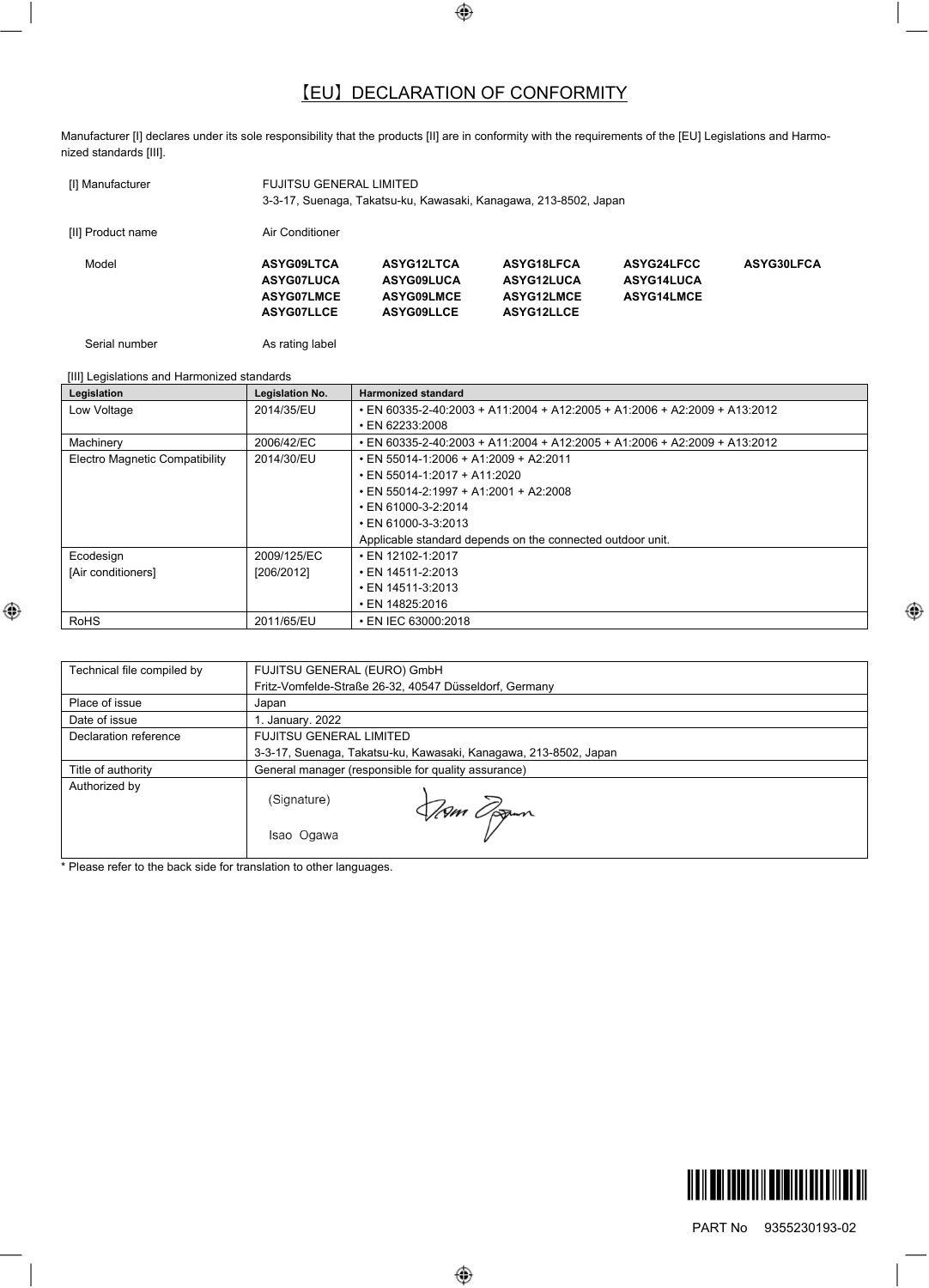## 【EU】 DECLARATION OF CONFORMITY

Manufacturer [I] declares under its sole responsibility that the products [II] are in conformity with the requirements of the [EU] Legislations and Harmonized standards [III].

| [I] Manufacturer  | FUJITSU GENERAL LIMITED<br>3-3-17, Suenaga, Takatsu-ku, Kawasaki, Kanagawa, 213-8502, Japan |                   |                   |                   |            |
|-------------------|---------------------------------------------------------------------------------------------|-------------------|-------------------|-------------------|------------|
| [II] Product name | Air Conditioner                                                                             |                   |                   |                   |            |
| Model             | ASYG09LTCA                                                                                  | ASYG12LTCA        | ASYG18LFCA        | ASYG24LFCC        | ASYG30LFCA |
|                   | ASYG07LUCA                                                                                  | <b>ASYG09LUCA</b> | ASYG12LUCA        | ASYG14LUCA        |            |
|                   | <b>ASYG07LMCE</b>                                                                           | <b>ASYG09LMCE</b> | ASYG12LMCE        | <b>ASYG14LMCE</b> |            |
|                   | <b>ASYG07LLCE</b>                                                                           | <b>ASYG09LLCE</b> | <b>ASYG12LLCE</b> |                   |            |

Serial number **As rating label** 

| [III] Legislations and Harmonized standards |                        |                                                                           |  |
|---------------------------------------------|------------------------|---------------------------------------------------------------------------|--|
| Legislation                                 | <b>Legislation No.</b> | <b>Harmonized standard</b>                                                |  |
| Low Voltage                                 | 2014/35/EU             | • EN 60335-2-40:2003 + A11:2004 + A12:2005 + A1:2006 + A2:2009 + A13:2012 |  |
|                                             |                        | • EN 62233:2008                                                           |  |
| Machinery                                   | 2006/42/EC             | • EN 60335-2-40:2003 + A11:2004 + A12:2005 + A1:2006 + A2:2009 + A13:2012 |  |
| <b>Electro Magnetic Compatibility</b>       | 2014/30/EU             | $\cdot$ EN 55014-1:2006 + A1:2009 + A2:2011                               |  |
|                                             |                        | $\cdot$ EN 55014-1:2017 + A11:2020                                        |  |
|                                             |                        | $\cdot$ EN 55014-2:1997 + A1:2001 + A2:2008                               |  |
|                                             |                        | $\cdot$ EN 61000-3-2:2014                                                 |  |
|                                             |                        | $\cdot$ EN 61000-3-3:2013                                                 |  |
|                                             |                        | Applicable standard depends on the connected outdoor unit.                |  |
| Ecodesign                                   | 2009/125/EC            | $\cdot$ EN 12102-1:2017                                                   |  |
| [Air conditioners]                          | [206/2012]             | $\cdot$ EN 14511-2:2013                                                   |  |
|                                             |                        | $\cdot$ EN 14511-3:2013                                                   |  |
|                                             |                        | $\cdot$ EN 14825:2016                                                     |  |
| <b>RoHS</b>                                 | 2011/65/EU             | • EN IEC 63000:2018                                                       |  |

| Technical file compiled by | FUJITSU GENERAL (EURO) GmbH                                      |
|----------------------------|------------------------------------------------------------------|
|                            | Fritz-Vomfelde-Straße 26-32, 40547 Düsseldorf, Germany           |
| Place of issue             | Japan                                                            |
| Date of issue              | 1. January. 2022                                                 |
| Declaration reference      | <b>FUJITSU GENERAL LIMITED</b>                                   |
|                            | 3-3-17, Suenaga, Takatsu-ku, Kawasaki, Kanagawa, 213-8502, Japan |
| Title of authority         | General manager (responsible for quality assurance)              |
| Authorized by              | (Signature)<br><i>Vinn Og</i> am                                 |
|                            | Isao Ogawa                                                       |

\* Please refer to the back side for translation to other languages.



PART No 9355230193-02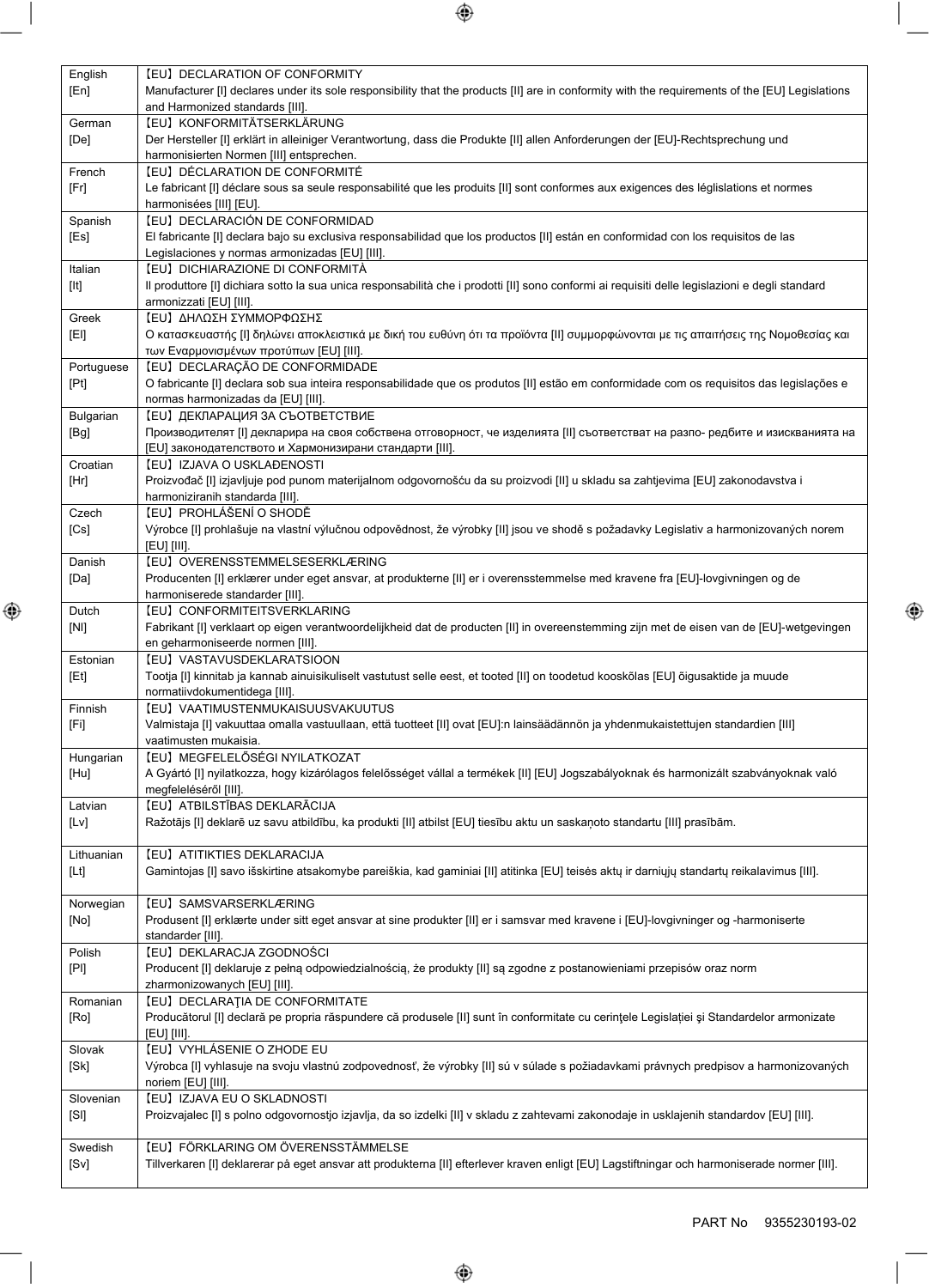| English            | [EU] DECLARATION OF CONFORMITY                                                                                                                           |
|--------------------|----------------------------------------------------------------------------------------------------------------------------------------------------------|
| [En]               | Manufacturer [I] declares under its sole responsibility that the products [II] are in conformity with the requirements of the [EU] Legislations          |
|                    | and Harmonized standards [III].                                                                                                                          |
| German             | [EU] KONFORMITÄTSERKLÄRUNG                                                                                                                               |
| [De]               | Der Hersteller [I] erklärt in alleiniger Verantwortung, dass die Produkte [II] allen Anforderungen der [EU]-Rechtsprechung und                           |
|                    | harmonisierten Normen [III] entsprechen.                                                                                                                 |
| French             | [EU] DÉCLARATION DE CONFORMITÉ                                                                                                                           |
| [Fr]               | Le fabricant [I] déclare sous sa seule responsabilité que les produits [II] sont conformes aux exigences des léglislations et normes                     |
|                    | harmonisées [III] [EU].                                                                                                                                  |
| Spanish            | [EU] DECLARACIÓN DE CONFORMIDAD                                                                                                                          |
| [Es]               | El fabricante [I] declara bajo su exclusiva responsabilidad que los productos [II] están en conformidad con los requisitos de las                        |
|                    | Legislaciones y normas armonizadas [EU] [III].                                                                                                           |
| Italian            | [EU] DICHIARAZIONE DI CONFORMITÀ                                                                                                                         |
| [It]               | Il produttore [I] dichiara sotto la sua unica responsabilità che i prodotti [II] sono conformi ai requisiti delle legislazioni e degli standard          |
| Greek              | armonizzati [EU] [III].<br>[ΕU] ΔΗΛΩΣΗ ΣΥΜΜΟΡΦΩΣΗΣ                                                                                                       |
|                    | Ο κατασκευαστής [Ι] δηλώνει αποκλειστικά με δική του ευθύνη ότι τα προϊόντα [ΙΙ] συμμορφώνονται με τις απαιτήσεις της Νομοθεσίας και                     |
| [E]                | των Εναρμονισμένων προτύπων [EU] [III].                                                                                                                  |
|                    | [EU] DECLARAÇÃO DE CONFORMIDADE                                                                                                                          |
| Portuguese<br>[Pt] | O fabricante [I] declara sob sua inteira responsabilidade que os produtos [II] estão em conformidade com os requisitos das legislações e                 |
|                    | normas harmonizadas da [EU] [III].                                                                                                                       |
| Bulgarian          | <b>[EU] ДЕКЛАРАЦИЯ ЗА СЪОТВЕТСТВИЕ</b>                                                                                                                   |
| [Bg]               | Производителят [I] декларира на своя собствена отговорност, че изделията [II] съответстват на разпо- редбите и изискванията на                           |
|                    | [EU] законодателството и Хармонизирани стандарти [III].                                                                                                  |
| Croatian           | [EU] IZJAVA O USKLAĐENOSTI                                                                                                                               |
| [Hr]               | Proizvođač [I] izjavljuje pod punom materijalnom odgovornošću da su proizvodi [II] u skladu sa zahtjevima [EU] zakonodavstva i                           |
|                    | harmoniziranih standarda [III].                                                                                                                          |
| Czech              | [EU] PROHLÁŠENÍ O SHODĚ                                                                                                                                  |
| [Cs]               | Výrobce [I] prohlašuje na vlastní výlučnou odpovědnost, že výrobky [II] jsou ve shodě s požadavky Legislativ a harmonizovaných norem                     |
|                    | [EU] [III].                                                                                                                                              |
| Danish             | [EU] OVERENSSTEMMELSESERKLÆRING                                                                                                                          |
| [Da]               | Producenten [I] erklærer under eget ansvar, at produkterne [II] er i overensstemmelse med kravene fra [EU]-lovgivningen og de                            |
|                    | harmoniserede standarder [III].                                                                                                                          |
| Dutch              | [EU] CONFORMITEITSVERKLARING                                                                                                                             |
| [N!]               | Fabrikant [I] verklaart op eigen verantwoordelijkheid dat de producten [II] in overeenstemming zijn met de eisen van de [EU]-wetgevingen                 |
|                    | en geharmoniseerde normen [III].                                                                                                                         |
| Estonian           | [EU] VASTAVUSDEKLARATSIOON                                                                                                                               |
| [Et]               | Tootja [I] kinnitab ja kannab ainuisikuliselt vastutust selle eest, et tooted [II] on toodetud kooskõlas [EU] õigusaktide ja muude                       |
|                    | normatiivdokumentidega [III].                                                                                                                            |
| Finnish            | [EU] VAATIMUSTENMUKAISUUSVAKUUTUS                                                                                                                        |
| [Fi]               | Valmistaja [I] vakuuttaa omalla vastuullaan, että tuotteet [II] ovat [EU]:n lainsäädännön ja yhdenmukaistettujen standardien [III]                       |
|                    | vaatimusten mukaisia.                                                                                                                                    |
| Hungarian          | [EU] MEGFELELŐSÉGI NYILATKOZAT                                                                                                                           |
| [Hu]               | A Gyártó [I] nyilatkozza, hogy kizárólagos felelősséget vállal a termékek [II] [EU] Jogszabályoknak és harmonizált szabványoknak való                    |
|                    | megfeleléséről [III].                                                                                                                                    |
| Latvian            | [EU] ATBILSTĪBAS DEKLARĀCIJA                                                                                                                             |
| [Lv]               | Ražotājs [I] deklarē uz savu atbildību, ka produkti [II] atbilst [EU] tiesību aktu un saskaņoto standartu [III] prasībām.                                |
|                    |                                                                                                                                                          |
| Lithuanian         | [EU] ATITIKTIES DEKLARACIJA                                                                                                                              |
| [Lt]               | Gamintojas [I] savo išskirtine atsakomybe pareiškia, kad gaminiai [II] atitinka [EU] teisės aktų ir darniųjų standartų reikalavimus [III].               |
|                    |                                                                                                                                                          |
| Norwegian          | [EU] SAMSVARSERKLÆRING                                                                                                                                   |
| [No]               | Produsent [I] erklærte under sitt eget ansvar at sine produkter [II] er i samsvar med kravene i [EU]-lovgivninger og -harmoniserte                       |
|                    | standarder [III].                                                                                                                                        |
| Polish             | [EU] DEKLARACJA ZGODNOŚCI                                                                                                                                |
| [PI]               | Producent [I] deklaruje z pełną odpowiedzialnością, że produkty [II] są zgodne z postanowieniami przepisów oraz norm                                     |
|                    | zharmonizowanych [EU] [III].                                                                                                                             |
| Romanian           | [EU] DECLARATIA DE CONFORMITATE                                                                                                                          |
| [Ro]               | Producătorul [I] declară pe propria răspundere că produsele [II] sunt în conformitate cu cerințele Legislației și Standardelor armonizate<br>[EU] [III]. |
| Slovak             | [EU] VYHLÁSENIE O ZHODE EU                                                                                                                               |
| [Sk]               | Výrobca [I] vyhlasuje na svoju vlastnú zodpovednosť, že výrobky [II] sú v súlade s požiadavkami právnych predpisov a harmonizovaných                     |
|                    | noriem [EU] [III].                                                                                                                                       |
| Slovenian          | [EU] IZJAVA EU O SKLADNOSTI                                                                                                                              |
| [S]                | Proizvajalec [I] s polno odgovornostjo izjavlja, da so izdelki [II] v skladu z zahtevami zakonodaje in usklajenih standardov [EU] [III].                 |
|                    |                                                                                                                                                          |
| Swedish            | [EU] FÖRKLARING OM ÖVERENSSTÄMMELSE                                                                                                                      |
|                    |                                                                                                                                                          |
| [Sv]               | Tillverkaren [I] deklarerar på eget ansvar att produkterna [II] efterlever kraven enligt [EU] Lagstiftningar och harmoniserade normer [III].             |